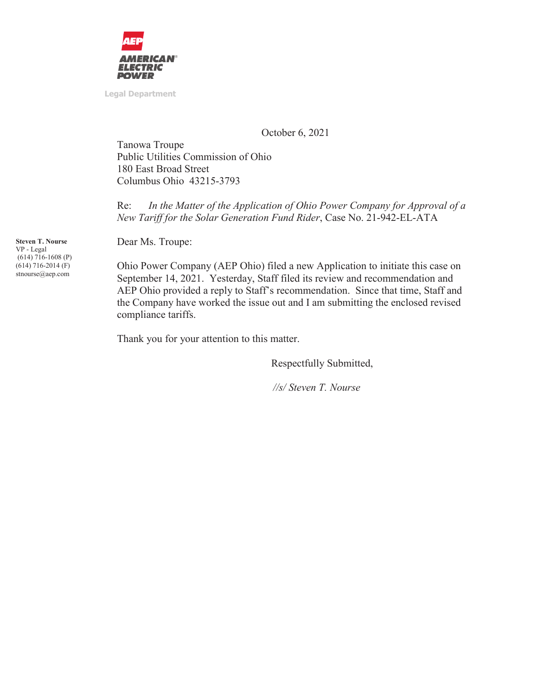

**Legal Department** 

October 6, 2021

Tanowa Troupe Public Utilities Commission of Ohio 180 East Broad Street Columbus Ohio 43215-3793

Re: *In the Matter of the Application of Ohio Power Company for Approval of a New Tariff for the Solar Generation Fund Rider*, Case No. 21-942-EL-ATA

Dear Ms. Troupe:

Ohio Power Company (AEP Ohio) filed a new Application to initiate this case on September 14, 2021. Yesterday, Staff filed its review and recommendation and AEP Ohio provided a reply to Staff's recommendation. Since that time, Staff and the Company have worked the issue out and I am submitting the enclosed revised compliance tariffs.

Thank you for your attention to this matter.

Respectfully Submitted,

 *//s/ Steven T. Nourse* 

**Steven T. Nourse**  VP - Legal (614) 716-1608 (P) (614) 716-2014 (F) stnourse@aep.com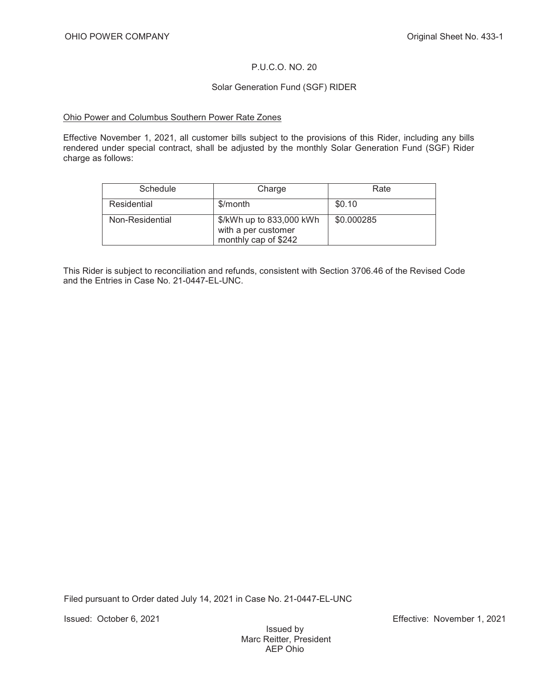# P.U.C.O. NO. 20

### Solar Generation Fund (SGF) RIDER

### Ohio Power and Columbus Southern Power Rate Zones

Effective November 1, 2021, all customer bills subject to the provisions of this Rider, including any bills rendered under special contract, shall be adjusted by the monthly Solar Generation Fund (SGF) Rider charge as follows:

| Schedule        | Charge                                                                  | Rate       |
|-----------------|-------------------------------------------------------------------------|------------|
| Residential     | \$/month                                                                | \$0.10     |
| Non-Residential | \$/kWh up to 833,000 kWh<br>with a per customer<br>monthly cap of \$242 | \$0.000285 |

This Rider is subject to reconciliation and refunds, consistent with Section 3706.46 of the Revised Code and the Entries in Case No. 21-0447-EL-UNC.

Filed pursuant to Order dated July 14, 2021 in Case No. 21-0447-EL-UNC

Issued: October 6, 2021 Effective: November 1, 2021

Issued by Marc Reitter, President AEP Ohio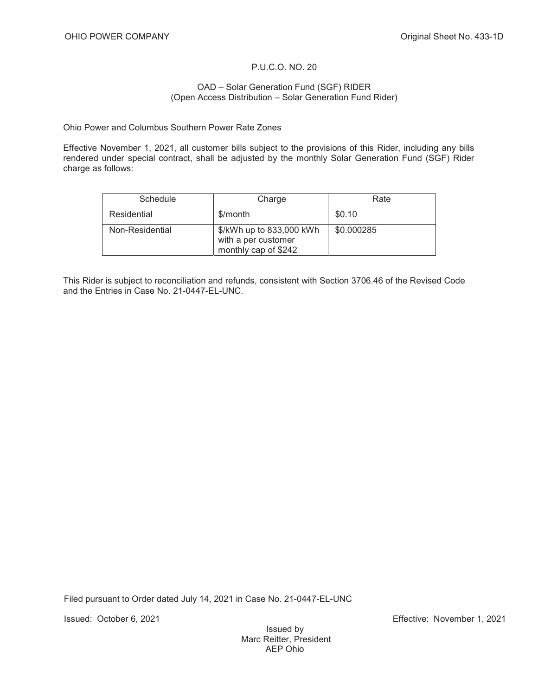## P.U.C.O. NO. 20

### OAD – Solar Generation Fund (SGF) RIDER (Open Access Distribution – Solar Generation Fund Rider)

### Ohio Power and Columbus Southern Power Rate Zones

Effective November 1, 2021, all customer bills subject to the provisions of this Rider, including any bills rendered under special contract, shall be adjusted by the monthly Solar Generation Fund (SGF) Rider charge as follows:

| Schedule        | Charge                                                                  | Rate       |
|-----------------|-------------------------------------------------------------------------|------------|
| Residential     | \$/month                                                                | \$0.10     |
| Non-Residential | \$/kWh up to 833,000 kWh<br>with a per customer<br>monthly cap of \$242 | \$0.000285 |

This Rider is subject to reconciliation and refunds, consistent with Section 3706.46 of the Revised Code and the Entries in Case No. 21-0447-EL-UNC.

Filed pursuant to Order dated July 14, 2021 in Case No. 21-0447-EL-UNC

Issued: October 6, 2021 Effective: November 1, 2021

Issued by Marc Reitter, President AEP Ohio